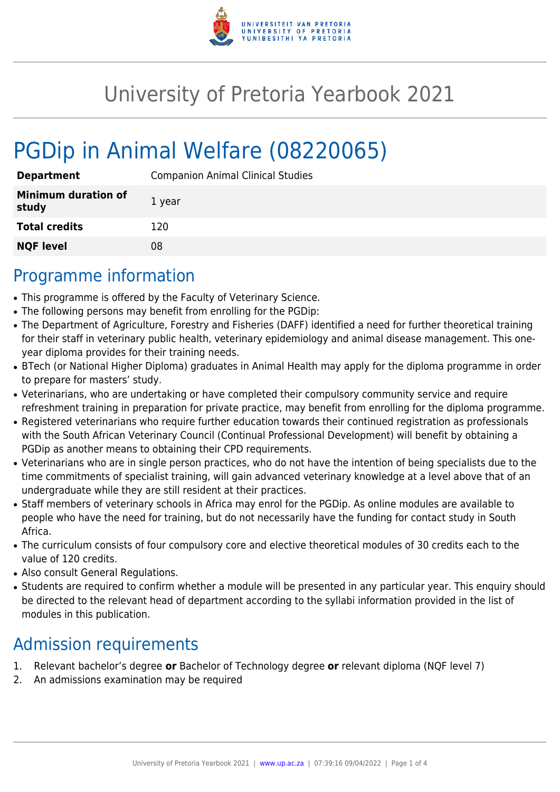

## University of Pretoria Yearbook 2021

# PGDip in Animal Welfare (08220065)

| <b>Department</b>                   | <b>Companion Animal Clinical Studies</b> |
|-------------------------------------|------------------------------------------|
| <b>Minimum duration of</b><br>study | 1 year                                   |
| <b>Total credits</b>                | 120                                      |
| <b>NQF level</b>                    | 08                                       |

#### Programme information

- This programme is offered by the Faculty of Veterinary Science.
- The following persons may benefit from enrolling for the PGDip:
- The Department of Agriculture, Forestry and Fisheries (DAFF) identified a need for further theoretical training for their staff in veterinary public health, veterinary epidemiology and animal disease management. This oneyear diploma provides for their training needs.
- BTech (or National Higher Diploma) graduates in Animal Health may apply for the diploma programme in order to prepare for masters' study.
- Veterinarians, who are undertaking or have completed their compulsory community service and require refreshment training in preparation for private practice, may benefit from enrolling for the diploma programme.
- Registered veterinarians who require further education towards their continued registration as professionals with the South African Veterinary Council (Continual Professional Development) will benefit by obtaining a PGDip as another means to obtaining their CPD requirements.
- Veterinarians who are in single person practices, who do not have the intention of being specialists due to the time commitments of specialist training, will gain advanced veterinary knowledge at a level above that of an undergraduate while they are still resident at their practices.
- Staff members of veterinary schools in Africa may enrol for the PGDip. As online modules are available to people who have the need for training, but do not necessarily have the funding for contact study in South Africa.
- The curriculum consists of four compulsory core and elective theoretical modules of 30 credits each to the value of 120 credits.
- Also consult General Regulations.
- Students are required to confirm whether a module will be presented in any particular year. This enquiry should be directed to the relevant head of department according to the syllabi information provided in the list of modules in this publication.

### Admission requirements

- 1. Relevant bachelor's degree **or** Bachelor of Technology degree **or** relevant diploma (NQF level 7)
- 2. An admissions examination may be required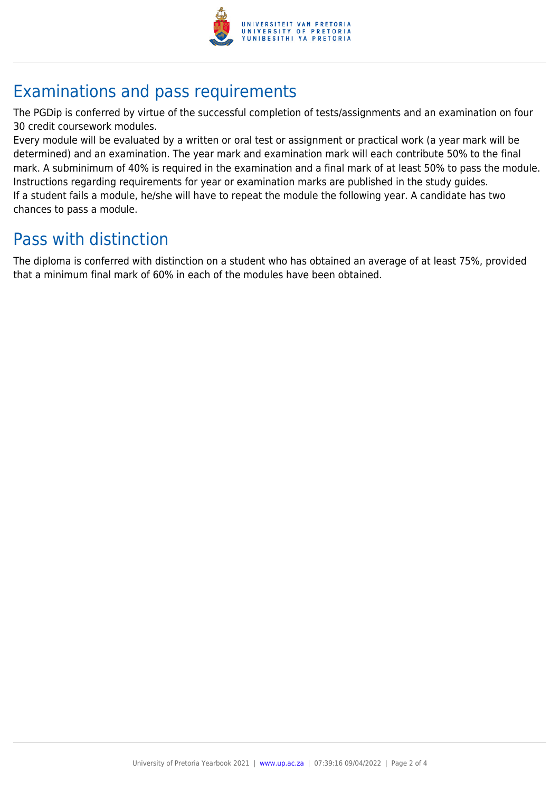

## Examinations and pass requirements

The PGDip is conferred by virtue of the successful completion of tests/assignments and an examination on four 30 credit coursework modules.

Every module will be evaluated by a written or oral test or assignment or practical work (a year mark will be determined) and an examination. The year mark and examination mark will each contribute 50% to the final mark. A subminimum of 40% is required in the examination and a final mark of at least 50% to pass the module. Instructions regarding requirements for year or examination marks are published in the study guides. If a student fails a module, he/she will have to repeat the module the following year. A candidate has two chances to pass a module.

### Pass with distinction

The diploma is conferred with distinction on a student who has obtained an average of at least 75%, provided that a minimum final mark of 60% in each of the modules have been obtained.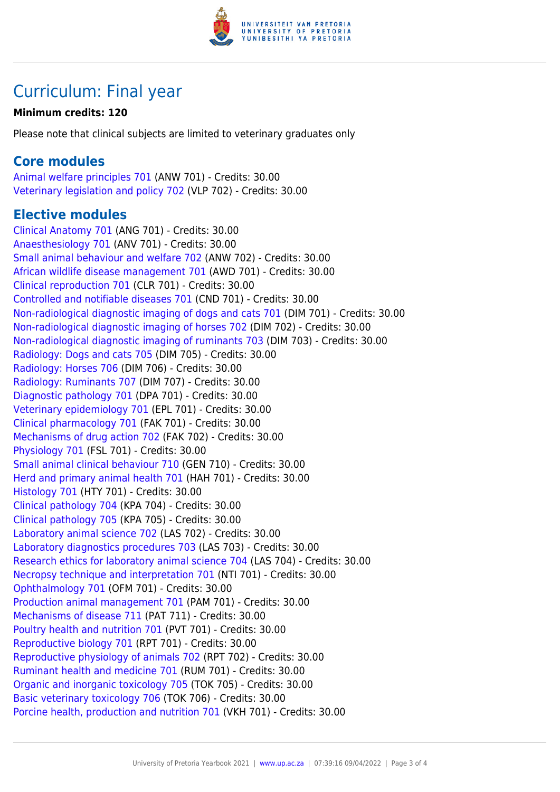

### Curriculum: Final year

#### **Minimum credits: 120**

Please note that clinical subjects are limited to veterinary graduates only

#### **Core modules**

[Animal welfare principles 701](https://www.up.ac.za/faculty-of-education/yearbooks/2021/modules/view/ANW 701) (ANW 701) - Credits: 30.00 [Veterinary legislation and policy 702](https://www.up.ac.za/faculty-of-education/yearbooks/2021/modules/view/VLP 702) (VLP 702) - Credits: 30.00

#### **Elective modules**

[Clinical Anatomy 701](https://www.up.ac.za/faculty-of-education/yearbooks/2021/modules/view/ANG 701) (ANG 701) - Credits: 30.00 [Anaesthesiology 701](https://www.up.ac.za/faculty-of-education/yearbooks/2021/modules/view/ANV 701) (ANV 701) - Credits: 30.00 [Small animal behaviour and welfare 702](https://www.up.ac.za/faculty-of-education/yearbooks/2021/modules/view/ANW 702) (ANW 702) - Credits: 30.00 [African wildlife disease management 701](https://www.up.ac.za/faculty-of-education/yearbooks/2021/modules/view/AWD 701) (AWD 701) - Credits: 30.00 [Clinical reproduction 701](https://www.up.ac.za/faculty-of-education/yearbooks/2021/modules/view/CLR 701) (CLR 701) - Credits: 30.00 [Controlled and notifiable diseases 701](https://www.up.ac.za/faculty-of-education/yearbooks/2021/modules/view/CND 701) (CND 701) - Credits: 30.00 [Non-radiological diagnostic imaging of dogs and cats 701](https://www.up.ac.za/faculty-of-education/yearbooks/2021/modules/view/DIM 701) (DIM 701) - Credits: 30.00 [Non-radiological diagnostic imaging of horses 702](https://www.up.ac.za/faculty-of-education/yearbooks/2021/modules/view/DIM 702) (DIM 702) - Credits: 30.00 [Non-radiological diagnostic imaging of ruminants 703](https://www.up.ac.za/faculty-of-education/yearbooks/2021/modules/view/DIM 703) (DIM 703) - Credits: 30.00 [Radiology: Dogs and cats 705](https://www.up.ac.za/faculty-of-education/yearbooks/2021/modules/view/DIM 705) (DIM 705) - Credits: 30.00 [Radiology: Horses 706](https://www.up.ac.za/faculty-of-education/yearbooks/2021/modules/view/DIM 706) (DIM 706) - Credits: 30.00 [Radiology: Ruminants 707](https://www.up.ac.za/faculty-of-education/yearbooks/2021/modules/view/DIM 707) (DIM 707) - Credits: 30.00 [Diagnostic pathology 701](https://www.up.ac.za/faculty-of-education/yearbooks/2021/modules/view/DPA 701) (DPA 701) - Credits: 30.00 [Veterinary epidemiology 701](https://www.up.ac.za/faculty-of-education/yearbooks/2021/modules/view/EPL 701) (EPL 701) - Credits: 30.00 [Clinical pharmacology 701](https://www.up.ac.za/faculty-of-education/yearbooks/2021/modules/view/FAK 701) (FAK 701) - Credits: 30.00 [Mechanisms of drug action 702](https://www.up.ac.za/faculty-of-education/yearbooks/2021/modules/view/FAK 702) (FAK 702) - Credits: 30.00 [Physiology 701](https://www.up.ac.za/faculty-of-education/yearbooks/2021/modules/view/FSL 701) (FSL 701) - Credits: 30.00 [Small animal clinical behaviour 710](https://www.up.ac.za/faculty-of-education/yearbooks/2021/modules/view/GEN 710) (GEN 710) - Credits: 30.00 [Herd and primary animal health 701](https://www.up.ac.za/faculty-of-education/yearbooks/2021/modules/view/HAH 701) (HAH 701) - Credits: 30.00 [Histology 701](https://www.up.ac.za/faculty-of-education/yearbooks/2021/modules/view/HTY 701) (HTY 701) - Credits: 30.00 [Clinical pathology 704](https://www.up.ac.za/faculty-of-education/yearbooks/2021/modules/view/KPA 704) (KPA 704) - Credits: 30.00 [Clinical pathology 705](https://www.up.ac.za/faculty-of-education/yearbooks/2021/modules/view/KPA 705) (KPA 705) - Credits: 30.00 [Laboratory animal science 702](https://www.up.ac.za/faculty-of-education/yearbooks/2021/modules/view/LAS 702) (LAS 702) - Credits: 30.00 [Laboratory diagnostics procedures 703](https://www.up.ac.za/faculty-of-education/yearbooks/2021/modules/view/LAS 703) (LAS 703) - Credits: 30.00 [Research ethics for laboratory animal science 704](https://www.up.ac.za/faculty-of-education/yearbooks/2021/modules/view/LAS 704) (LAS 704) - Credits: 30.00 [Necropsy technique and interpretation 701](https://www.up.ac.za/faculty-of-education/yearbooks/2021/modules/view/NTI 701) (NTI 701) - Credits: 30.00 [Ophthalmology 701](https://www.up.ac.za/faculty-of-education/yearbooks/2021/modules/view/OFM 701) (OFM 701) - Credits: 30.00 [Production animal management 701](https://www.up.ac.za/faculty-of-education/yearbooks/2021/modules/view/PAM 701) (PAM 701) - Credits: 30.00 [Mechanisms of disease 711](https://www.up.ac.za/faculty-of-education/yearbooks/2021/modules/view/PAT 711) (PAT 711) - Credits: 30.00 [Poultry health and nutrition 701](https://www.up.ac.za/faculty-of-education/yearbooks/2021/modules/view/PVT 701) (PVT 701) - Credits: 30.00 [Reproductive biology 701](https://www.up.ac.za/faculty-of-education/yearbooks/2021/modules/view/RPT 701) (RPT 701) - Credits: 30.00 [Reproductive physiology of animals 702](https://www.up.ac.za/faculty-of-education/yearbooks/2021/modules/view/RPT 702) (RPT 702) - Credits: 30.00 [Ruminant health and medicine 701](https://www.up.ac.za/faculty-of-education/yearbooks/2021/modules/view/RUM 701) (RUM 701) - Credits: 30.00 [Organic and inorganic toxicology 705](https://www.up.ac.za/faculty-of-education/yearbooks/2021/modules/view/TOK 705) (TOK 705) - Credits: 30.00 [Basic veterinary toxicology 706](https://www.up.ac.za/faculty-of-education/yearbooks/2021/modules/view/TOK 706) (TOK 706) - Credits: 30.00 [Porcine health, production and nutrition 701](https://www.up.ac.za/faculty-of-education/yearbooks/2021/modules/view/VKH 701) (VKH 701) - Credits: 30.00